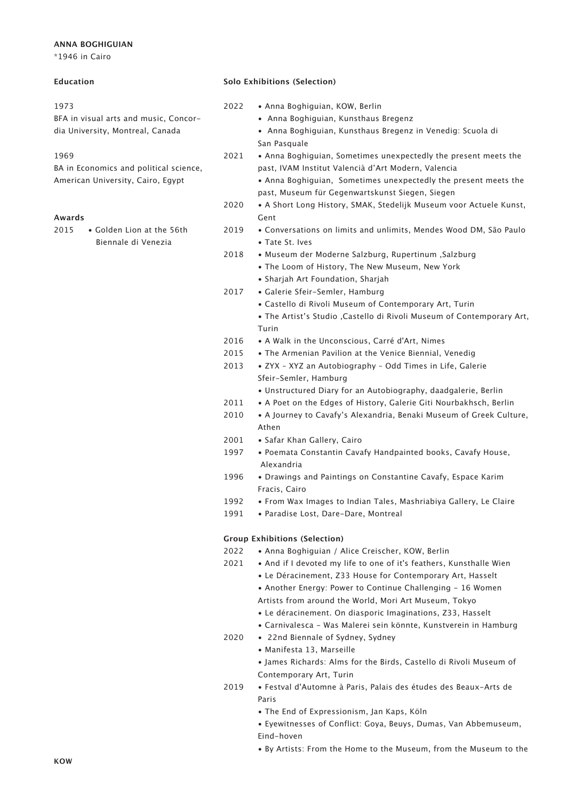# **ANNA BOGHIGUIAN**

\*1946 in Cairo

## **Education**

#### 1973

BFA in visual arts and music, Concordia University, Montreal, Canada

## 1969

BA in Economics and political science, American University, Cairo, Egypt

# **Awards**

2015 • Golden Lion at the 56th Biennale di Venezia

## **Solo Exhibitions (Selection)**

- 2022 Anna Boghiguian, KOW, Berlin
	- Anna Boghiguian, Kunsthaus Bregenz
	- Anna Boghiguian, Kunsthaus Bregenz in Venedig: Scuola di San Pasquale
- 2021 Anna Boghiguian, Sometimes unexpectedly the present meets the past, IVAM Institut Valencià d'Art Modern, Valencia
	- Anna Boghiguian, Sometimes unexpectedly the present meets the past, Museum für Gegenwartskunst Siegen, Siegen
- 2020 A Short Long History, SMAK, Stedelijk Museum voor Actuele Kunst, Gent
- 2019 Conversations on limits and unlimits, Mendes Wood DM, São Paulo • Tate St. Ives
- 2018 Museum der Moderne Salzburg, Rupertinum ,Salzburg
	- The Loom of History, The New Museum, New York
	- Sharjah Art Foundation, Sharjah
- 2017 Galerie Sfeir-Semler, Hamburg
	- Castello di Rivoli Museum of Contemporary Art, Turin
	- The Artist's Studio ,Castello di Rivoli Museum of Contemporary Art, Turin
- 2016 A Walk in the Unconscious, Carré d'Art, Nimes
- 2015 The Armenian Pavilion at the Venice Biennial, Venedig
- 2013 ZYX XYZ an Autobiography Odd Times in Life, Galerie Sfeir-Semler, Hamburg
	- Unstructured Diary for an Autobiography, daadgalerie, Berlin
- 2011 A Poet on the Edges of History, Galerie Giti Nourbakhsch, Berlin
- 2010 A Journey to Cavafy's Alexandria, Benaki Museum of Greek Culture, Athen
- 2001 Safar Khan Gallery, Cairo
- 1997 Poemata Constantin Cavafy Handpainted books, Cavafy House, Alexandria
- 1996 Drawings and Paintings on Constantine Cavafy, Espace Karim Fracis, Cairo
- 1992 From Wax Images to Indian Tales, Mashriabiya Gallery, Le Claire
- 1991 Paradise Lost, Dare-Dare, Montreal

# **Group Exhibitions (Selection)**

- 2022 Anna Boghiguian / Alice Creischer, KOW, Berlin
- 2021 And if I devoted my life to one of it's feathers, Kunsthalle Wien
	- Le Déracinement, Z33 House for Contemporary Art, Hasselt
	- Another Energy: Power to Continue Challenging 16 Women
	- Artists from around the World, Mori Art Museum, Tokyo
	- Le déracinement. On diasporic Imaginations, Z33, Hasselt
	- Carnivalesca Was Malerei sein könnte, Kunstverein in Hamburg
- 2020 22nd Biennale of Sydney, Sydney
	- Manifesta 13, Marseille
	- James Richards: Alms for the Birds, Castello di Rivoli Museum of Contemporary Art, Turin
- 2019 Festval d'Automne à Paris, Palais des études des Beaux-Arts de Paris
	- The End of Expressionism, Jan Kaps, Köln
	- Eyewitnesses of Conflict: Goya, Beuys, Dumas, Van Abbemuseum, Eind-hoven
	- By Artists: From the Home to the Museum, from the Museum to the